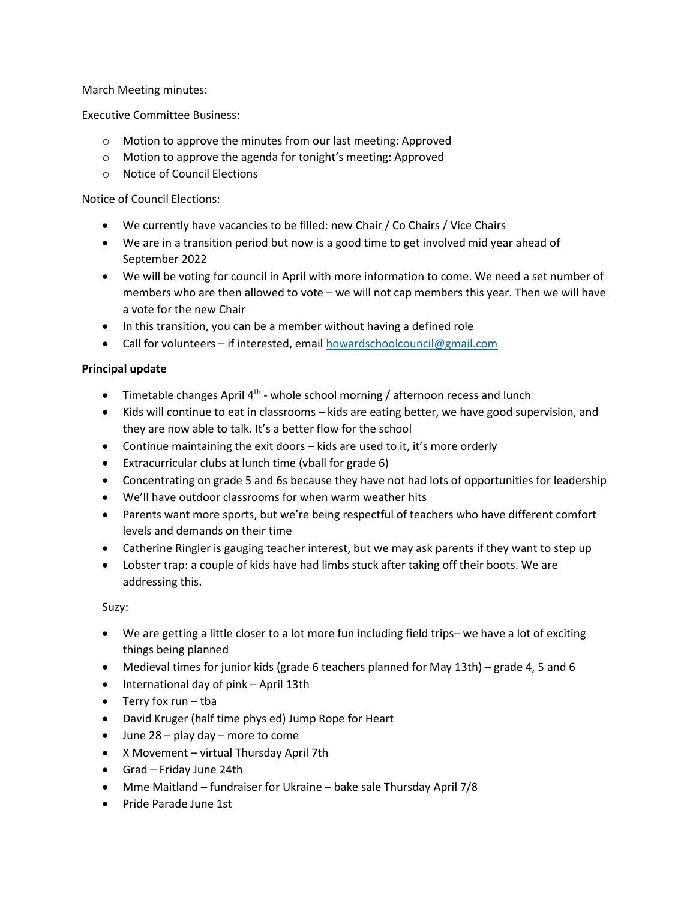March Meeting minutes:

Executive Committee Business:

- o Motion to approve the minutes from our last meeting: Approved
- o Motion to approve the agenda for tonight's meeting: Approved
- o Notice of Council Elections

Notice of Council Elections:

- We currently have vacancies to be filled: new Chair / Co Chairs / Vice Chairs
- We are in a transition period but now is a good time to get involved mid year ahead of September 2022
- We will be voting for council in April with more information to come. We need a set number of members who are then allowed to vote – we will not cap members this year. Then we will have a vote for the new Chair
- In this transition, you can be a member without having a defined role
- Call for volunteers if interested, email howardschoolcouncil@gmail.com

### Principal update

- $\bullet$  Timetable changes April 4<sup>th</sup> whole school morning / afternoon recess and lunch
- Kids will continue to eat in classrooms kids are eating better, we have good supervision, and they are now able to talk. It's a better flow for the school
- Continue maintaining the exit doors kids are used to it, it's more orderly
- Extracurricular clubs at lunch time (vball for grade 6)
- Concentrating on grade 5 and 6s because they have not had lots of opportunities for leadership
- We'll have outdoor classrooms for when warm weather hits
- Parents want more sports, but we're being respectful of teachers who have different comfort levels and demands on their time
- Catherine Ringler is gauging teacher interest, but we may ask parents if they want to step up
- Lobster trap: a couple of kids have had limbs stuck after taking off their boots. We are addressing this.

Suzy:

- We are getting a little closer to a lot more fun including field trips– we have a lot of exciting things being planned
- Medieval times for junior kids (grade 6 teachers planned for May 13th) grade 4, 5 and 6
- International day of pink April 13th
- $\bullet$  Terry fox run tba
- David Kruger (half time phys ed) Jump Rope for Heart
- $\bullet$  June 28 play day more to come
- X Movement virtual Thursday April 7th
- Grad Friday June 24th
- Mme Maitland fundraiser for Ukraine bake sale Thursday April 7/8
- Pride Parade June 1st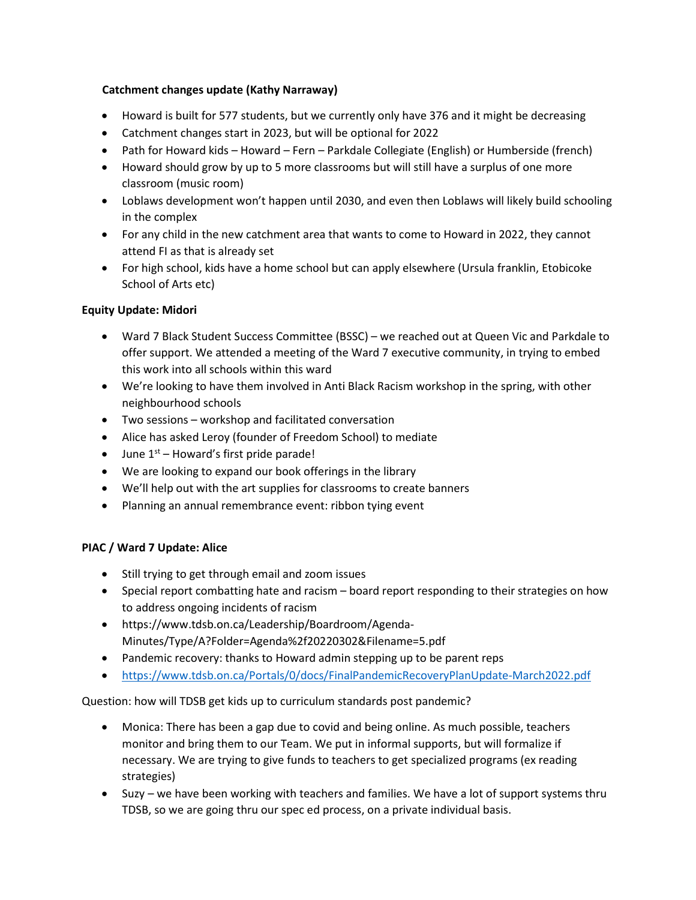# Catchment changes update (Kathy Narraway)

- Howard is built for 577 students, but we currently only have 376 and it might be decreasing
- Catchment changes start in 2023, but will be optional for 2022
- Path for Howard kids Howard Fern Parkdale Collegiate (English) or Humberside (french)
- Howard should grow by up to 5 more classrooms but will still have a surplus of one more classroom (music room)
- Loblaws development won't happen until 2030, and even then Loblaws will likely build schooling in the complex
- For any child in the new catchment area that wants to come to Howard in 2022, they cannot attend FI as that is already set
- For high school, kids have a home school but can apply elsewhere (Ursula franklin, Etobicoke School of Arts etc)

# Equity Update: Midori

- Ward 7 Black Student Success Committee (BSSC) we reached out at Queen Vic and Parkdale to offer support. We attended a meeting of the Ward 7 executive community, in trying to embed this work into all schools within this ward
- We're looking to have them involved in Anti Black Racism workshop in the spring, with other neighbourhood schools
- Two sessions workshop and facilitated conversation
- Alice has asked Leroy (founder of Freedom School) to mediate
- $\bullet$  June 1<sup>st</sup> Howard's first pride parade!
- We are looking to expand our book offerings in the library
- We'll help out with the art supplies for classrooms to create banners
- Planning an annual remembrance event: ribbon tying event

# PIAC / Ward 7 Update: Alice

- Still trying to get through email and zoom issues
- Special report combatting hate and racism board report responding to their strategies on how to address ongoing incidents of racism
- https://www.tdsb.on.ca/Leadership/Boardroom/Agenda-Minutes/Type/A?Folder=Agenda%2f20220302&Filename=5.pdf
- Pandemic recovery: thanks to Howard admin stepping up to be parent reps
- https://www.tdsb.on.ca/Portals/0/docs/FinalPandemicRecoveryPlanUpdate-March2022.pdf

Question: how will TDSB get kids up to curriculum standards post pandemic?

- Monica: There has been a gap due to covid and being online. As much possible, teachers monitor and bring them to our Team. We put in informal supports, but will formalize if necessary. We are trying to give funds to teachers to get specialized programs (ex reading strategies)
- Suzy we have been working with teachers and families. We have a lot of support systems thru TDSB, so we are going thru our spec ed process, on a private individual basis.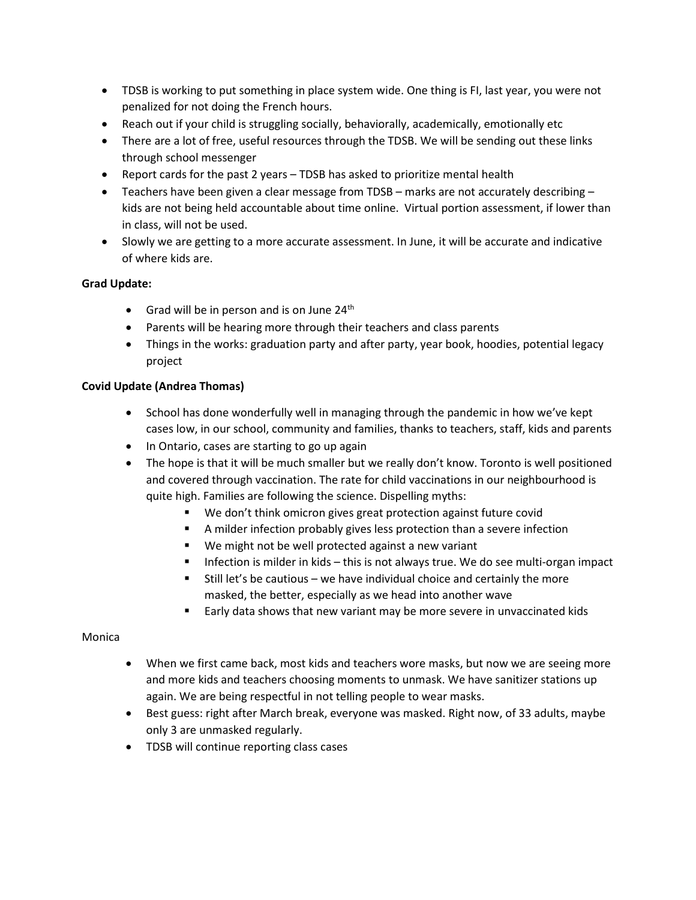- TDSB is working to put something in place system wide. One thing is FI, last year, you were not penalized for not doing the French hours.
- Reach out if your child is struggling socially, behaviorally, academically, emotionally etc
- There are a lot of free, useful resources through the TDSB. We will be sending out these links through school messenger
- Report cards for the past 2 years TDSB has asked to prioritize mental health
- Teachers have been given a clear message from TDSB marks are not accurately describing kids are not being held accountable about time online. Virtual portion assessment, if lower than in class, will not be used.
- Slowly we are getting to a more accurate assessment. In June, it will be accurate and indicative of where kids are.

### Grad Update:

- Grad will be in person and is on June  $24<sup>th</sup>$
- Parents will be hearing more through their teachers and class parents
- Things in the works: graduation party and after party, year book, hoodies, potential legacy project

### Covid Update (Andrea Thomas)

- School has done wonderfully well in managing through the pandemic in how we've kept cases low, in our school, community and families, thanks to teachers, staff, kids and parents
- In Ontario, cases are starting to go up again
- The hope is that it will be much smaller but we really don't know. Toronto is well positioned and covered through vaccination. The rate for child vaccinations in our neighbourhood is quite high. Families are following the science. Dispelling myths:
	- We don't think omicron gives great protection against future covid
	- A milder infection probably gives less protection than a severe infection
	- We might not be well protected against a new variant
	- **Infection is milder in kids this is not always true. We do see multi-organ impact**
	- $\blacksquare$  Still let's be cautious we have individual choice and certainly the more masked, the better, especially as we head into another wave
	- **Early data shows that new variant may be more severe in unvaccinated kids**

#### Monica

- When we first came back, most kids and teachers wore masks, but now we are seeing more and more kids and teachers choosing moments to unmask. We have sanitizer stations up again. We are being respectful in not telling people to wear masks.
- Best guess: right after March break, everyone was masked. Right now, of 33 adults, maybe only 3 are unmasked regularly.
- TDSB will continue reporting class cases